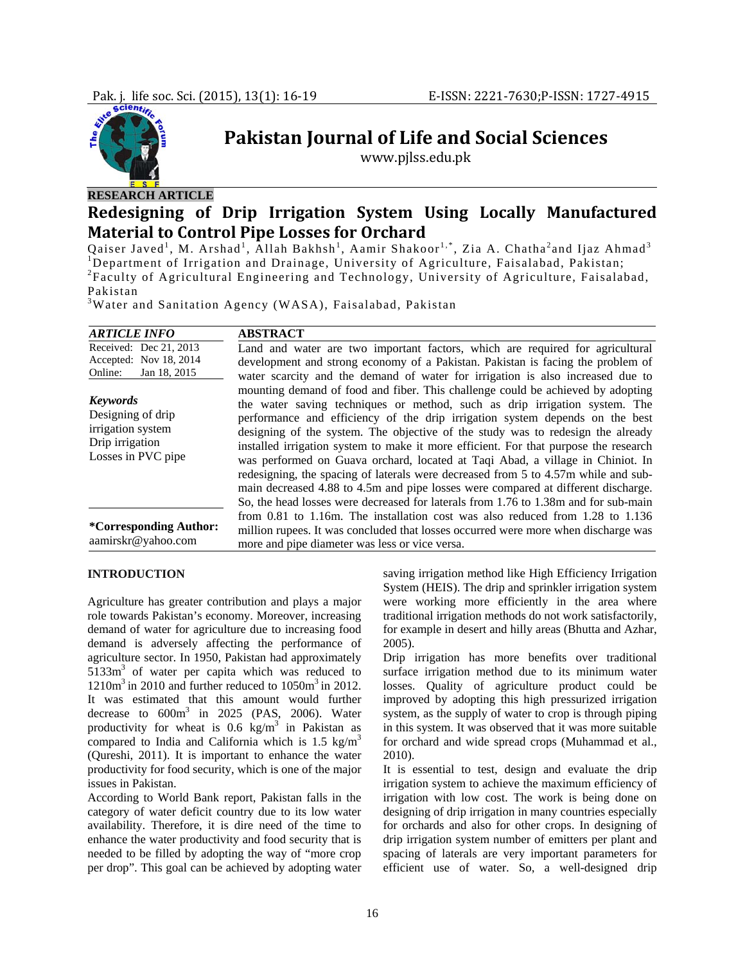

# **Pakistan Journal of Life and Social Sciences**

www.pjlss.edu.pk

# **RESEARCH ARTICLE**

# **Redesigning of Drip Irrigation System Using Locally Manufactured Material to Control Pipe Losses for Orchard**

Qaiser Javed<sup>1</sup>, M. Arshad<sup>1</sup>, Allah Bakhsh<sup>1</sup>, Aamir Shakoor<sup>1,\*</sup>, Zia A. Chatha<sup>2</sup>and Ijaz Ahmad<sup>3</sup> <sup>1</sup>Department of Irrigation and Drainage, University of Agriculture, Faisalabad, Pakistan; <sup>2</sup> Faculty of Agricultural Engineering and Technology, University of Agriculture, Faisalabad, Pakistan

<sup>3</sup>Water and Sanitation Agency (WASA), Faisalabad, Pakistan

| <b>ARTICLE INFO</b>                                                                                | <b>ABSTRACT</b>                                                                                                                                                                                                                                                                                                                                                                                                                                                                                                                                                                                                                                                                                                                                                              |
|----------------------------------------------------------------------------------------------------|------------------------------------------------------------------------------------------------------------------------------------------------------------------------------------------------------------------------------------------------------------------------------------------------------------------------------------------------------------------------------------------------------------------------------------------------------------------------------------------------------------------------------------------------------------------------------------------------------------------------------------------------------------------------------------------------------------------------------------------------------------------------------|
| Received: Dec 21, 2013                                                                             | Land and water are two important factors, which are required for agricultural                                                                                                                                                                                                                                                                                                                                                                                                                                                                                                                                                                                                                                                                                                |
| Accepted: Nov 18, 2014                                                                             | development and strong economy of a Pakistan. Pakistan is facing the problem of                                                                                                                                                                                                                                                                                                                                                                                                                                                                                                                                                                                                                                                                                              |
| Online:<br>Jan 18, 2015                                                                            | water scarcity and the demand of water for irrigation is also increased due to                                                                                                                                                                                                                                                                                                                                                                                                                                                                                                                                                                                                                                                                                               |
| <b>Keywords</b><br>Designing of drip<br>irrigation system<br>Drip irrigation<br>Losses in PVC pipe | mounting demand of food and fiber. This challenge could be achieved by adopting<br>the water saving techniques or method, such as drip irrigation system. The<br>performance and efficiency of the drip irrigation system depends on the best<br>designing of the system. The objective of the study was to redesign the already<br>installed irrigation system to make it more efficient. For that purpose the research<br>was performed on Guava orchard, located at Taqi Abad, a village in Chiniot. In<br>redesigning, the spacing of laterals were decreased from 5 to 4.57m while and sub-<br>main decreased 4.88 to 4.5m and pipe losses were compared at different discharge.<br>So, the head losses were decreased for laterals from 1.76 to 1.38m and for sub-main |
| <i>*Corresponding Author:</i><br>aamirskr@yahoo.com                                                | from 0.81 to 1.16m. The installation cost was also reduced from $1.28$ to $1.136$<br>million rupees. It was concluded that losses occurred were more when discharge was<br>more and pipe diameter was less or vice versa.                                                                                                                                                                                                                                                                                                                                                                                                                                                                                                                                                    |

# **INTRODUCTION**

Agriculture has greater contribution and plays a major role towards Pakistan's economy. Moreover, increasing demand of water for agriculture due to increasing food demand is adversely affecting the performance of agriculture sector. In 1950, Pakistan had approximately  $5133m<sup>3</sup>$  of water per capita which was reduced to  $1210m<sup>3</sup>$  in 2010 and further reduced to  $1050m<sup>3</sup>$  in 2012. It was estimated that this amount would further decrease to  $600m^3$  in 2025 (PAS, 2006). Water productivity for wheat is  $0.6 \text{ kg/m}^3$  in Pakistan as compared to India and California which is  $1.5 \text{ kg/m}^3$ (Qureshi, 2011). It is important to enhance the water productivity for food security, which is one of the major issues in Pakistan.

According to World Bank report, Pakistan falls in the category of water deficit country due to its low water availability. Therefore, it is dire need of the time to enhance the water productivity and food security that is needed to be filled by adopting the way of "more crop per drop". This goal can be achieved by adopting water

saving irrigation method like High Efficiency Irrigation System (HEIS). The drip and sprinkler irrigation system were working more efficiently in the area where traditional irrigation methods do not work satisfactorily, for example in desert and hilly areas (Bhutta and Azhar, 2005).

Drip irrigation has more benefits over traditional surface irrigation method due to its minimum water losses. Quality of agriculture product could be improved by adopting this high pressurized irrigation system, as the supply of water to crop is through piping in this system. It was observed that it was more suitable for orchard and wide spread crops (Muhammad et al., 2010).

It is essential to test, design and evaluate the drip irrigation system to achieve the maximum efficiency of irrigation with low cost. The work is being done on designing of drip irrigation in many countries especially for orchards and also for other crops. In designing of drip irrigation system number of emitters per plant and spacing of laterals are very important parameters for efficient use of water. So, a well-designed drip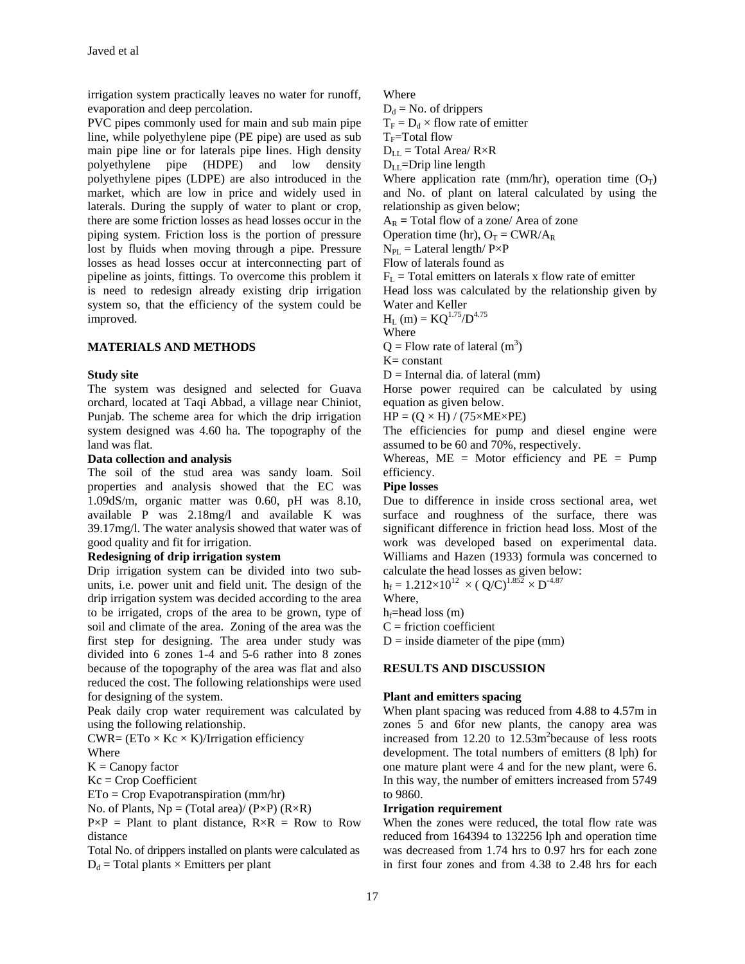irrigation system practically leaves no water for runoff, evaporation and deep percolation.

PVC pipes commonly used for main and sub main pipe line, while polyethylene pipe (PE pipe) are used as sub main pipe line or for laterals pipe lines. High density polyethylene pipe (HDPE) and low density polyethylene pipes (LDPE) are also introduced in the market, which are low in price and widely used in laterals. During the supply of water to plant or crop, there are some friction losses as head losses occur in the piping system. Friction loss is the portion of pressure lost by fluids when moving through a pipe. Pressure losses as head losses occur at interconnecting part of pipeline as joints, fittings. To overcome this problem it is need to redesign already existing drip irrigation system so, that the efficiency of the system could be improved.

# **MATERIALS AND METHODS**

# **Study site**

The system was designed and selected for Guava orchard, located at Taqi Abbad, a village near Chiniot, Punjab. The scheme area for which the drip irrigation system designed was 4.60 ha. The topography of the land was flat.

# **Data collection and analysis**

The soil of the stud area was sandy loam. Soil properties and analysis showed that the EC was 1.09dS/m, organic matter was 0.60, pH was 8.10, available P was 2.18mg/l and available K was 39.17mg/l. The water analysis showed that water was of good quality and fit for irrigation.

# **Redesigning of drip irrigation system**

Drip irrigation system can be divided into two subunits, i.e. power unit and field unit. The design of the drip irrigation system was decided according to the area to be irrigated, crops of the area to be grown, type of soil and climate of the area. Zoning of the area was the first step for designing. The area under study was divided into 6 zones 1-4 and 5-6 rather into 8 zones because of the topography of the area was flat and also reduced the cost. The following relationships were used for designing of the system.

Peak daily crop water requirement was calculated by using the following relationship.

 $CWR = (ETo \times Kc \times K)/Irrigation$  efficiency

Where

 $K =$ Canopy factor

 $Kc =$  Crop Coefficient

ETo = Crop Evapotranspiration (mm/hr)

No. of Plants,  $Np = (Total area)/(P \times P) (R \times R)$ 

 $P\times P =$  Plant to plant distance,  $R\times R =$  Row to Row distance

Total No. of drippers installed on plants were calculated as  $D_d$  = Total plants  $\times$  Emitters per plant

Where

 $D_d$  = No. of drippers

 $T_F = D_d \times$  flow rate of emitter

 $T_F$ =Total flow

 $D_{LL}$  = Total Area/  $R \times R$ 

 $D_{LL}$ =Drip line length

Where application rate (mm/hr), operation time  $(O_T)$ and No. of plant on lateral calculated by using the relationship as given below;

 $A_R$  = Total flow of a zone/ Area of zone

Operation time (hr),  $O_T = CWR/A_R$ 

 $N_{\text{PL}} =$  Lateral length/  $P \times P$ Flow of laterals found as

 $F_L$  = Total emitters on laterals x flow rate of emitter

Head loss was calculated by the relationship given by Water and Keller

 $H_L$  (m) =  $KQ^{1.75}/D^{4.75}$ 

Where

 $Q =$  Flow rate of lateral  $(m<sup>3</sup>)$ 

 $K = constant$ 

 $D =$ Internal dia. of lateral (mm)

Horse power required can be calculated by using equation as given below.

 $HP = (Q \times H) / (75 \times ME \times PE)$ 

The efficiencies for pump and diesel engine were assumed to be 60 and 70%, respectively.

Whereas,  $ME = Motor efficiency$  and  $PE = Pump$ efficiency.

# **Pipe losses**

Due to difference in inside cross sectional area, wet surface and roughness of the surface, there was significant difference in friction head loss. Most of the work was developed based on experimental data. Williams and Hazen (1933) formula was concerned to calculate the head losses as given below:

 $h_f = 1.212 \times 10^{12} \times (Q/C)^{1.852} \times D^{-4.87}$ 

Where,

 $h_f$ =head loss (m)

 $C =$  friction coefficient

 $D =$  inside diameter of the pipe (mm)

# **RESULTS AND DISCUSSION**

# **Plant and emitters spacing**

When plant spacing was reduced from 4.88 to 4.57m in zones 5 and 6for new plants, the canopy area was increased from 12.20 to 12.53m<sup>2</sup>because of less roots development. The total numbers of emitters (8 lph) for one mature plant were 4 and for the new plant, were 6. In this way, the number of emitters increased from 5749 to 9860.

# **Irrigation requirement**

When the zones were reduced, the total flow rate was reduced from 164394 to 132256 lph and operation time was decreased from 1.74 hrs to 0.97 hrs for each zone in first four zones and from 4.38 to 2.48 hrs for each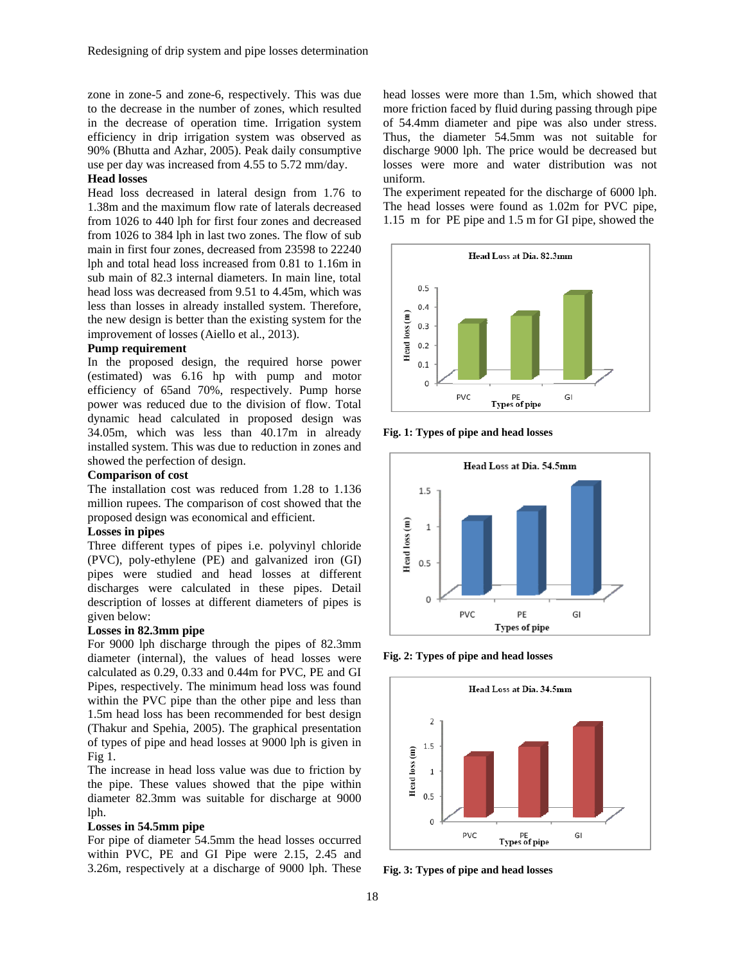zone in zone-5 and zone-6, respectively. This was due to the decrease in the number of zones, which resulted in the decrease of operation time. Irrigation system efficiency in drip irrigation system was observed as 90% (Bhutta and Azhar, 2005). Peak daily consumptive use per day was increased from 4.55 to 5.72 mm/day.

# **Head losses**

Head loss decreased in lateral design from 1.76 to 1.38m and the maximum flow rate of laterals decreased from 1026 to 440 lph for first four zones and decreased from 1026 to 384 lph in last two zones. The flow of sub main in first four zones, decreased from 23598 to 22240 lph and total head loss increased from 0.81 to 1.16m in sub main of 82.3 internal diameters. In main line, total head loss was decreased from 9.51 to 4.45m, which was less than losses in already installed system. Therefore, the new design is better than the existing system for the improvement of losses (Aiello et al., 2013).

# **Pump requirement**

In the proposed design, the required horse power (estimated) was 6.16 hp with pump and motor efficiency of 65and 70%, respectively. Pump horse power was reduced due to the division of flow. Total dynamic head calculated in proposed design was 34.05m, which was less than 40.17m in already installed system. This was due to reduction in zones and showed the perfection of design.

#### **Comparison of cost**

The installation cost was reduced from 1.28 to 1.136 million rupees. The comparison of cost showed that the proposed design was economical and efficient.

# **Losses in pipes**

Three different types of pipes i.e. polyvinyl chloride (PVC), poly-ethylene (PE) and galvanized iron (GI) pipes were studied and head losses at different discharges were calculated in these pipes. Detail description of losses at different diameters of pipes is given below:

# **Losses in 82.3mm pipe**

For 9000 lph discharge through the pipes of 82.3mm diameter (internal), the values of head losses were calculated as 0.29, 0.33 and 0.44m for PVC, PE and GI Pipes, respectively. The minimum head loss was found within the PVC pipe than the other pipe and less than 1.5m head loss has been recommended for best design (Thakur and Spehia, 2005). The graphical presentation of types of pipe and head losses at 9000 lph is given in Fig 1.

The increase in head loss value was due to friction by the pipe. These values showed that the pipe within diameter 82.3mm was suitable for discharge at 9000 lph.

#### **Losses in 54.5mm pipe**

For pipe of diameter 54.5mm the head losses occurred within PVC, PE and GI Pipe were 2.15, 2.45 and 3.26m, respectively at a discharge of 9000 lph. These

head losses were more than 1.5m, which showed that more friction faced by fluid during passing through pipe of 54.4mm diameter and pipe was also under stress. Thus, the diameter 54.5mm was not suitable for discharge 9000 lph. The price would be decreased but losses were more and water distribution was not uniform.

The experiment repeated for the discharge of 6000 lph. The head losses were found as 1.02m for PVC pipe, 1.15 m for PE pipe and 1.5 m for GI pipe, showed the



**Fig. 1: Types of pipe and head losses** 



**Fig. 2: Types of pipe and head losses** 



**Fig. 3: Types of pipe and head losses**